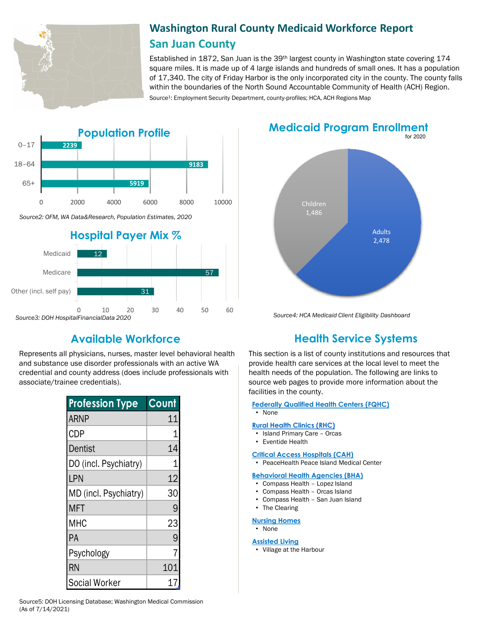

# **Washington Rural County Medicaid Workforce Report San Juan County**

Established in 1872, San Juan is the 39th largest county in Washington state covering 174 square miles. It is made up of 4 large islands and hundreds of small ones. It has a population of 17,340. The city of Friday Harbor is the only incorporated city in the county. The county falls within the boundaries of the North Sound Accountable Community of Health (ACH) Region. Source<sup>1</sup>: Employment Security Department, county-profiles; HCA, ACH Regions Map





Represents all physicians, nurses, master level behavioral health and substance use disorder professionals with an active WA credential and county address (does include professionals with associate/trainee credentials).

| <b>Profession Type</b> | Count |
|------------------------|-------|
| <b>ARNP</b>            | 11    |
| <b>CDP</b>             |       |
| Dentist                | 14    |
| DO (incl. Psychiatry)  |       |
| LPN                    | 12    |
| MD (incl. Psychiatry)  | 30    |
| <b>MFT</b>             |       |
| MHC                    | 23    |
| PA                     | 9     |
| Psychology             |       |
| <b>RN</b>              | 101   |
| <b>Social Worker</b>   |       |





*Source4: HCA Medicaid Client Eligibility Dashboard*

# **Available Workforce Health Service Systems**

This section is a list of county institutions and resources that provide health care services at the local level to meet the health needs of the population. The following are links to source web pages to provide more information about the facilities in the county.

### **[Federally Qualified Health Centers \(FQHC\)](https://www.doh.wa.gov/ForPublicHealthandHealthcareProviders/RuralHealth/PrimaryCareOffice)**

• None

#### **[Rural Health Clinics \(RHC\)](https://www.doh.wa.gov/ForPublicHealthandHealthcareProviders/RuralHealth/RuralHealthSystems)**

- Island Primary Care Orcas
- Eventide Health

#### **[Critical Access Hospitals \(CAH\)](https://www.doh.wa.gov/ForPublicHealthandHealthcareProviders/RuralHealth/RuralHealthSystems)**

• PeaceHealth Peace Island Medical Center

#### **[Behavioral Health Agencies \(BHA\)](https://www.doh.wa.gov/LicensesPermitsandCertificates/ProviderCredentialSearch)**

- Compass Health Lopez Island
- Compass Health Orcas Island
- Compass Health San Juan Island

# • The Clearing

#### **[Nursing Homes](https://fortress.wa.gov/dshs/adsaapps/lookup/NHPubLookup.aspx)**

• None

#### **[Assisted Living](https://fortress.wa.gov/dshs/adsaapps/lookup/BHPubLookup.aspx)**

• Village at the Harbour